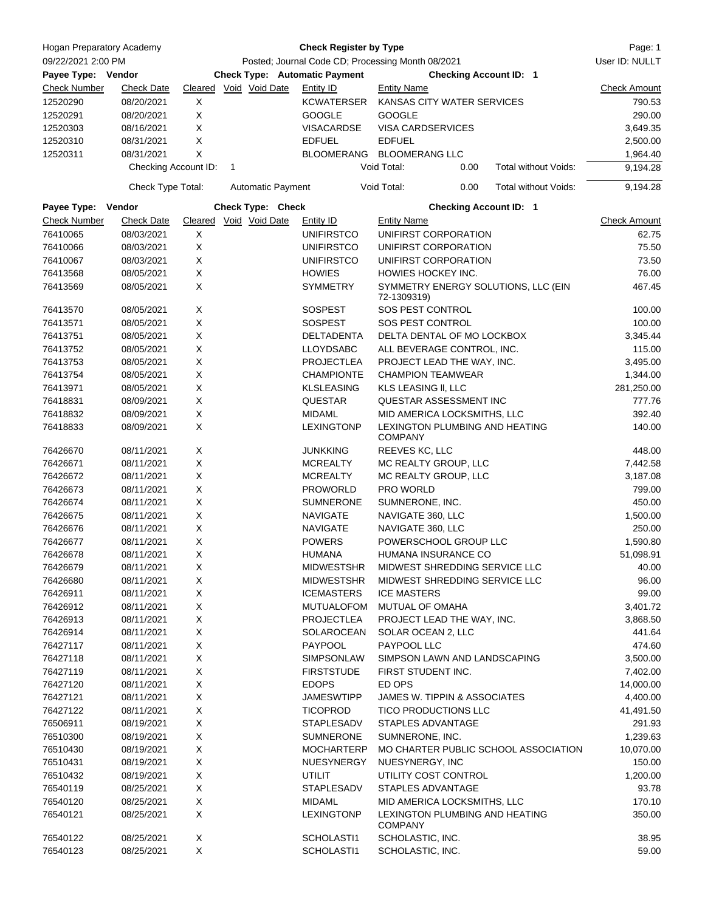| <b>Hogan Preparatory Academy</b><br>09/22/2021 2:00 PM<br>Payee Type: Vendor |                      | <b>Check Register by Type</b><br>Posted; Journal Code CD; Processing Month 08/2021<br><b>Check Type: Automatic Payment</b><br><b>Checking Account ID: 1</b> |   |                          |                   |                                                    |                                |                                      |                     |
|------------------------------------------------------------------------------|----------------------|-------------------------------------------------------------------------------------------------------------------------------------------------------------|---|--------------------------|-------------------|----------------------------------------------------|--------------------------------|--------------------------------------|---------------------|
|                                                                              |                      |                                                                                                                                                             |   |                          |                   |                                                    |                                |                                      |                     |
| <b>Check Number</b>                                                          | <b>Check Date</b>    |                                                                                                                                                             |   | Cleared Void Void Date   | Entity ID         | <b>Entity Name</b>                                 |                                |                                      | <b>Check Amount</b> |
| 12520290                                                                     | 08/20/2021           | X                                                                                                                                                           |   |                          | <b>KCWATERSER</b> |                                                    | KANSAS CITY WATER SERVICES     |                                      | 790.53              |
| 12520291                                                                     | 08/20/2021           | X                                                                                                                                                           |   |                          | <b>GOOGLE</b>     | <b>GOOGLE</b>                                      |                                |                                      | 290.00              |
| 12520303                                                                     | 08/16/2021           | X                                                                                                                                                           |   |                          | <b>VISACARDSE</b> |                                                    | VISA CARDSERVICES              |                                      | 3,649.35            |
| 12520310                                                                     | 08/31/2021           | X                                                                                                                                                           |   |                          | <b>EDFUEL</b>     | <b>EDFUEL</b>                                      |                                |                                      | 2,500.00            |
| 12520311                                                                     | 08/31/2021           | X                                                                                                                                                           |   |                          | BLOOMERANG        | <b>BLOOMERANG LLC</b>                              |                                |                                      | 1,964.40            |
|                                                                              | Checking Account ID: |                                                                                                                                                             | 1 |                          |                   | Void Total:                                        | 0.00                           | Total without Voids:                 | 9,194.28            |
|                                                                              | Check Type Total:    |                                                                                                                                                             |   | <b>Automatic Payment</b> |                   | Void Total:                                        | 0.00                           | Total without Voids:                 | 9,194.28            |
| Payee Type: Vendor                                                           |                      |                                                                                                                                                             |   | Check Type: Check        |                   |                                                    | <b>Checking Account ID: 1</b>  |                                      |                     |
| <b>Check Number</b>                                                          | <b>Check Date</b>    | Cleared                                                                                                                                                     |   | Void Void Date           | <b>Entity ID</b>  | <b>Entity Name</b>                                 |                                |                                      | <b>Check Amount</b> |
| 76410065                                                                     | 08/03/2021           | X                                                                                                                                                           |   |                          | <b>UNIFIRSTCO</b> |                                                    | UNIFIRST CORPORATION           |                                      | 62.75               |
| 76410066                                                                     | 08/03/2021           | X                                                                                                                                                           |   |                          | <b>UNIFIRSTCO</b> |                                                    | UNIFIRST CORPORATION           |                                      | 75.50               |
| 76410067                                                                     | 08/03/2021           | X                                                                                                                                                           |   |                          | <b>UNIFIRSTCO</b> |                                                    | UNIFIRST CORPORATION           |                                      | 73.50               |
| 76413568                                                                     | 08/05/2021           | $\mathsf X$                                                                                                                                                 |   |                          | <b>HOWIES</b>     | HOWIES HOCKEY INC.                                 |                                |                                      | 76.00               |
| 76413569                                                                     | 08/05/2021           | X                                                                                                                                                           |   |                          | <b>SYMMETRY</b>   | SYMMETRY ENERGY SOLUTIONS, LLC (EIN<br>72-1309319) |                                |                                      | 467.45              |
| 76413570                                                                     | 08/05/2021           | X                                                                                                                                                           |   |                          | <b>SOSPEST</b>    |                                                    | SOS PEST CONTROL               |                                      | 100.00              |
| 76413571                                                                     | 08/05/2021           | X                                                                                                                                                           |   |                          | <b>SOSPEST</b>    |                                                    | SOS PEST CONTROL               |                                      | 100.00              |
| 76413751                                                                     | 08/05/2021           | X                                                                                                                                                           |   |                          | DELTADENTA        |                                                    | DELTA DENTAL OF MO LOCKBOX     |                                      | 3,345.44            |
| 76413752                                                                     | 08/05/2021           | X                                                                                                                                                           |   |                          | <b>LLOYDSABC</b>  |                                                    | ALL BEVERAGE CONTROL, INC.     |                                      | 115.00              |
| 76413753                                                                     | 08/05/2021           | X                                                                                                                                                           |   |                          | <b>PROJECTLEA</b> |                                                    | PROJECT LEAD THE WAY, INC.     |                                      | 3,495.00            |
|                                                                              |                      | X                                                                                                                                                           |   |                          |                   |                                                    |                                |                                      |                     |
| 76413754<br>76413971                                                         | 08/05/2021           | X                                                                                                                                                           |   |                          | <b>CHAMPIONTE</b> |                                                    | <b>CHAMPION TEAMWEAR</b>       |                                      | 1,344.00            |
|                                                                              | 08/05/2021           |                                                                                                                                                             |   |                          | <b>KLSLEASING</b> | KLS LEASING II, LLC                                |                                |                                      | 281,250.00          |
| 76418831                                                                     | 08/09/2021           | X                                                                                                                                                           |   |                          | QUESTAR           |                                                    | QUESTAR ASSESSMENT INC         |                                      | 777.76              |
| 76418832                                                                     | 08/09/2021           | Χ                                                                                                                                                           |   |                          | <b>MIDAML</b>     |                                                    | MID AMERICA LOCKSMITHS, LLC    |                                      | 392.40              |
| 76418833                                                                     | 08/09/2021           | X                                                                                                                                                           |   |                          | <b>LEXINGTONP</b> | <b>COMPANY</b>                                     | LEXINGTON PLUMBING AND HEATING |                                      | 140.00              |
| 76426670                                                                     | 08/11/2021           | Χ                                                                                                                                                           |   |                          | <b>JUNKKING</b>   | REEVES KC, LLC                                     |                                |                                      | 448.00              |
| 76426671                                                                     | 08/11/2021           | X                                                                                                                                                           |   |                          | <b>MCREALTY</b>   |                                                    | MC REALTY GROUP, LLC           |                                      | 7,442.58            |
| 76426672                                                                     | 08/11/2021           | Χ                                                                                                                                                           |   |                          | <b>MCREALTY</b>   |                                                    | MC REALTY GROUP, LLC           |                                      | 3,187.08            |
| 76426673                                                                     | 08/11/2021           | Χ                                                                                                                                                           |   |                          | <b>PROWORLD</b>   | <b>PRO WORLD</b>                                   |                                |                                      | 799.00              |
| 76426674                                                                     | 08/11/2021           | X                                                                                                                                                           |   |                          | <b>SUMNERONE</b>  | SUMNERONE, INC.                                    |                                |                                      | 450.00              |
| 76426675                                                                     | 08/11/2021           | X                                                                                                                                                           |   |                          | <b>NAVIGATE</b>   | NAVIGATE 360, LLC                                  |                                |                                      | 1,500.00            |
| 76426676                                                                     | 08/11/2021           | X                                                                                                                                                           |   |                          | <b>NAVIGATE</b>   | NAVIGATE 360, LLC                                  |                                |                                      | 250.00              |
| 76426677                                                                     | 08/11/2021           | X                                                                                                                                                           |   |                          | <b>POWERS</b>     |                                                    | POWERSCHOOL GROUP LLC          |                                      | 1,590.80            |
| 76426678                                                                     | 08/11/2021           | X                                                                                                                                                           |   |                          | <b>HUMANA</b>     |                                                    | HUMANA INSURANCE CO            |                                      | 51,098.91           |
| 76426679                                                                     | 08/11/2021           | X                                                                                                                                                           |   |                          | <b>MIDWESTSHR</b> |                                                    | MIDWEST SHREDDING SERVICE LLC  |                                      | 40.00               |
| 76426680                                                                     | 08/11/2021           | X                                                                                                                                                           |   |                          | <b>MIDWESTSHR</b> |                                                    | MIDWEST SHREDDING SERVICE LLC  |                                      | 96.00               |
| 76426911                                                                     | 08/11/2021           | X                                                                                                                                                           |   |                          | <b>ICEMASTERS</b> | <b>ICE MASTERS</b>                                 |                                |                                      | 99.00               |
| 76426912                                                                     | 08/11/2021           | X                                                                                                                                                           |   |                          | <b>MUTUALOFOM</b> |                                                    | MUTUAL OF OMAHA                |                                      | 3,401.72            |
| 76426913                                                                     | 08/11/2021           | X                                                                                                                                                           |   |                          | <b>PROJECTLEA</b> |                                                    | PROJECT LEAD THE WAY, INC.     |                                      | 3,868.50            |
| 76426914                                                                     | 08/11/2021           | X                                                                                                                                                           |   |                          | SOLAROCEAN        |                                                    | SOLAR OCEAN 2, LLC             |                                      | 441.64              |
| 76427117                                                                     | 08/11/2021           | X                                                                                                                                                           |   |                          | <b>PAYPOOL</b>    | PAYPOOL LLC                                        |                                |                                      | 474.60              |
| 76427118                                                                     | 08/11/2021           | X                                                                                                                                                           |   |                          | SIMPSONLAW        |                                                    | SIMPSON LAWN AND LANDSCAPING   |                                      | 3,500.00            |
| 76427119                                                                     | 08/11/2021           | X                                                                                                                                                           |   |                          | <b>FIRSTSTUDE</b> |                                                    | FIRST STUDENT INC.             |                                      | 7,402.00            |
| 76427120                                                                     | 08/11/2021           | X                                                                                                                                                           |   |                          | <b>EDOPS</b>      | ED OPS                                             |                                |                                      | 14,000.00           |
| 76427121                                                                     | 08/11/2021           | X                                                                                                                                                           |   |                          | <b>JAMESWTIPP</b> |                                                    | JAMES W. TIPPIN & ASSOCIATES   |                                      | 4,400.00            |
| 76427122                                                                     | 08/11/2021           | X                                                                                                                                                           |   |                          | <b>TICOPROD</b>   |                                                    | TICO PRODUCTIONS LLC           |                                      | 41,491.50           |
| 76506911                                                                     | 08/19/2021           | X                                                                                                                                                           |   |                          | STAPLESADV        |                                                    | STAPLES ADVANTAGE              |                                      | 291.93              |
| 76510300                                                                     | 08/19/2021           | X                                                                                                                                                           |   |                          | <b>SUMNERONE</b>  | SUMNERONE, INC.                                    |                                |                                      | 1,239.63            |
| 76510430                                                                     | 08/19/2021           | X                                                                                                                                                           |   |                          | <b>MOCHARTERP</b> |                                                    |                                | MO CHARTER PUBLIC SCHOOL ASSOCIATION | 10,070.00           |
|                                                                              |                      |                                                                                                                                                             |   |                          |                   |                                                    |                                |                                      |                     |
| 76510431                                                                     | 08/19/2021           | X                                                                                                                                                           |   |                          | NUESYNERGY        | NUESYNERGY, INC                                    |                                |                                      | 150.00              |
| 76510432                                                                     | 08/19/2021           | X                                                                                                                                                           |   |                          | <b>UTILIT</b>     |                                                    | UTILITY COST CONTROL           |                                      | 1,200.00            |
| 76540119                                                                     | 08/25/2021           | X                                                                                                                                                           |   |                          | STAPLESADV        |                                                    | STAPLES ADVANTAGE              |                                      | 93.78               |
| 76540120                                                                     | 08/25/2021           | X                                                                                                                                                           |   |                          | <b>MIDAML</b>     |                                                    | MID AMERICA LOCKSMITHS, LLC    |                                      | 170.10              |
| 76540121                                                                     | 08/25/2021           | Χ                                                                                                                                                           |   |                          | <b>LEXINGTONP</b> | <b>COMPANY</b>                                     | LEXINGTON PLUMBING AND HEATING |                                      | 350.00              |
| 76540122                                                                     | 08/25/2021           | X                                                                                                                                                           |   |                          | SCHOLASTI1        | SCHOLASTIC, INC.                                   |                                |                                      | 38.95               |
| 76540123                                                                     | 08/25/2021           | X                                                                                                                                                           |   |                          | SCHOLASTI1        | SCHOLASTIC, INC.                                   |                                |                                      | 59.00               |